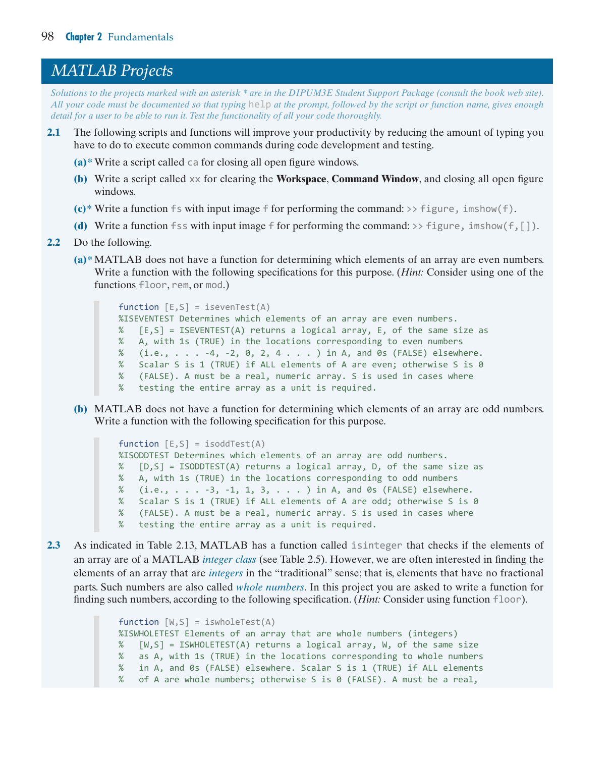## results in the message listed in the function code. Figure 2.16 shows how the cursor would be displayed upon typing **Enter** (**Return**) at the prompt, after the image file *MATLAB Projects*

Solutions to the projects marked with an asterisk \* are in the DIPUM3E Student Support Package (consult the book web site). *All your code must be documented so that typing* help *at the prompt, followed by the script or function name, gives enough detail for a user to be able to run it. Test the functionality of all your code thoroughly.* 

- **Summary** of reducing series and ranches will improve your productivity by reducing a have to do to execute common commands during code development and testing. **2.1** The following scripts and functions will improve your productivity by reducing the amount of typing you
- **(a)\*** Write a script called ca for closing all open figure windows.
- (b) Write a script called xx for clearing the Workspace, Command Window, and closing all open figure simple manipulations, display the result, and save it to disk. The key lesson from this chapter is how to disk. The key lesson from this chapter is how to disk. The key lesson from this chapter is how to disk. The key less windows.
- $(c)$ <sup>\*</sup> Write a function fs with input image f for performing the command: >> figure, imshow(f).
- $\zeta$  solutions that extend the capabilities of the capabilities of the model of the model of  $\zeta$  is the model of  $\zeta$  is the model of  $\zeta$  is the model of  $\zeta$  is the model of  $\zeta$  is the model of  $\zeta$  is the mode (d) Write a function fss with input image f for performing the command:  $\rightarrow$  figure, imshow(f, []).
- **2.2** Do the following.
	- **(a)\*** MATLAB does not have a function for determining which elements of an array are even numbers. Write a function with the following specifications for this purpose. (*Hint:* Consider using one of the functions floor, rem, or mod.)

```
function [E, S] = is evenTest(A)%ISEVENTEST Determines which elements of an array are even numbers.
% [E,S] = ISEVENTEST(A) returns a logical array, E, of the same size as
% A, with 1s (TRUE) in the locations corresponding to even numbers
% (i.e., . . . -4, -2, 0, 2, 4 . . . ) in A, and 0s (FALSE) elsewhere.
% Scalar S is 1 (TRUE) if ALL elements of A are even; otherwise S is 0
% (FALSE). A must be a real, numeric array. S is used in cases where
% testing the entire array as a unit is required.
```
**(b)** MATLAB does not have a function for determining which elements of an array are odd numbers. Write a function with the following specification for this purpose.

```
function [E, S] = isoddTest(A)
%ISODDTEST Determines which elements of an array are odd numbers.
% [D,S] = ISODDTEST(A) returns a logical array, D, of the same size as
% A, with 1s (TRUE) in the locations corresponding to odd numbers
% (i.e., ... -3, -1, 1, 3, ...) in A, and 0s (FALSE) elsewhere.
% Scalar S is 1 (TRUE) if ALL elements of A are odd; otherwise S is 0
% (FALSE). A must be a real, numeric array. S is used in cases where
% testing the entire array as a unit is required.
```
**2.3** As indicated in Table 2.13, MATLAB has a function called isinteger that checks if the elements of an array are of a MATLAB *integer class* (see Table 2.5). However, we are often interested in finding the elements of an array that are *integers* in the "traditional" sense; that is, elements that have no fractional parts. Such numbers are also called *whole numbers*. In this project you are asked to write a function for finding such numbers, according to the following specification. (*Hint:* Consider using function floor).

```
function [W, S] = iswholeTest(A)%ISWHOLETEST Elements of an array that are whole numbers (integers)
% [W,S] = ISWHOLETEST(A) returns a logical array, W, of the same size
% as A, with 1s (TRUE) in the locations corresponding to whole numbers
% in A, and 0s (FALSE) elsewhere. Scalar S is 1 (TRUE) if ALL elements
% of A are whole numbers; otherwise S is 0 (FALSE). A must be a real,
```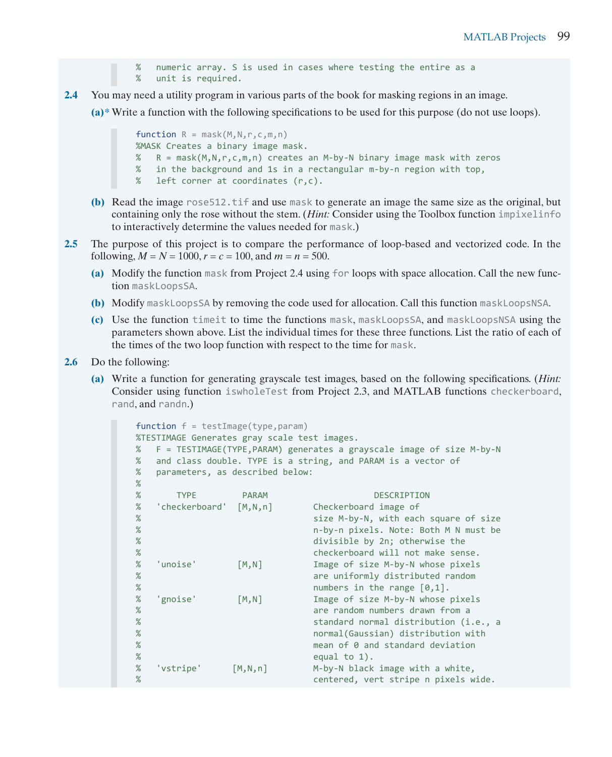```
% numeric array. S is used in cases where testing the entire as a
% unit is required.
```
**2.4** You may need a utility program in various parts of the book for masking regions in an image.

**(a)\*** Write a function with the following specifications to be used for this purpose (do not use loops).

```
function R = mask(M, N, r, c, m, n)%MASK Creates a binary image mask.
% R = mask(M,N,r,c,m,n) creates an M-by-N binary image mask with zeros
% in the background and 1s in a rectangular m-by-n region with top,
% left corner at coordinates (r,c).
```
- **(b)** Read the image rose512.tif and use mask to generate an image the same size as the original, but containing only the rose without the stem. (*Hint:* Consider using the Toolbox function impixelinfo to interactively determine the values needed for mask.)
- **2.5** The purpose of this project is to compare the performance of loop-based and vectorized code. In the following,  $M = N = 1000$ ,  $r = c = 100$ , and  $m = n = 500$ .
	- **(a)** Modify the function mask from Project 2.4 using for loops with space allocation. Call the new function maskLoopsSA.
	- **(b)** Modify maskLoopsSA by removing the code used for allocation. Call this function maskLoopsNSA.
	- **(c)** Use the function timeit to time the functions mask, maskLoopsSA, and maskLoopsNSA using the parameters shown above. List the individual times for these three functions. List the ratio of each of the times of the two loop function with respect to the time for mask.
- **2.6** Do the following:
	- **(a)** Write a function for generating grayscale test images, based on the following specifications. (*Hint:* Consider using function iswholeTest from Project 2.3, and MATLAB functions checkerboard, rand, and randn.)

```
function f = testImage(type, param)%TESTIMAGE Generates gray scale test images.
% F = TESTIMAGE(TYPE,PARAM) generates a grayscale image of size M-by-N
% and class double. TYPE is a string, and PARAM is a vector of
% parameters, as described below:
%
% TYPE PARAM DESCRIPTION
% 'checkerboard' [M,N,n] Checkerboard image of
% size M-by-N, with each square of size
% m-by-n pixels. Note: Both M N must be % and the match of the divisible by 2n: otherwise the % and % and % and \frac{1}{2} divisible by 2n: otherwise the % and % and % and % and % and % and % and % and % and % and % and % a
                                 divisible by 2n; otherwise the
% checkerboard will not make sense.
% 'unoise' [M,N] Image of size M-by-N whose pixels
% are uniformly distributed random<br>% are uniformly distributed random<br>mumbers in the range [0.1].
                                 numbers in the range [0,1].
% 'gnoise' [M,N] Image of size M-by-N whose pixels
% are random numbers drawn from a<br>% are randard normal distribution (i
                                 standard normal distribution (i.e., a
% normal(Gaussian) distribution with
                                 mean of 0 and standard deviation
% equal to 1).
% 'vstripe' [M,N,n] M-by-N black image with a white,
% centered, vert stripe n pixels wide.
```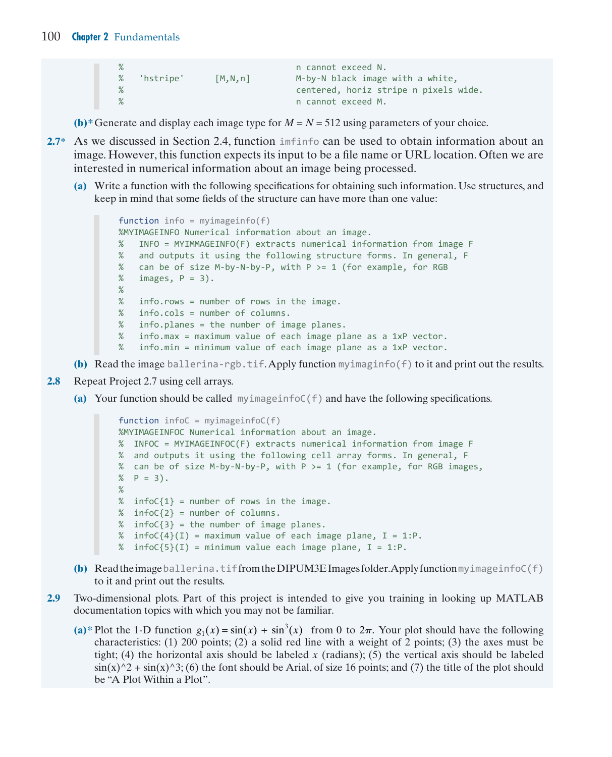```
% n cannot exceed N.
% 'hstripe' [M,N,n] M-by-N black image with a white,
% centered, horiz stripe n pixels wide.
                      n cannot exceed M.
```
**(b)**\* Generate and display each image type for  $M = N = 512$  using parameters of your choice.

- **2.7\*** As we discussed in Section 2.4, function imfinfo can be used to obtain information about an image. However, this function expects its input to be a file name or URL location. Often we are interested in numerical information about an image being processed.
	- **(a)** Write a function with the following specifications for obtaining such information. Use structures, and keep in mind that some fields of the structure can have more than one value:

```
function info = myimageinfo(f)%MYIMAGEINFO Numerical information about an image.
% INFO = MYIMMAGEINFO(F) extracts numerical information from image F
% and outputs it using the following structure forms. In general, F
% can be of size M-by-N-by-P, with P > = 1 (for example, for RGB
% images, P = 3).
% 
% info.rows = number of rows in the image.
% info.cols = number of columns.
% info.planes = the number of image planes.
% info.max = maximum value of each image plane as a 1xP vector.
% info.min = minimum value of each image plane as a 1xP vector.
```
- **(b)** Read the image ballerina-rgb.tif. Apply function myimaginfo(f) to it and print out the results.
- **2.8** Repeat Project 2.7 using cell arrays.
	- **(a)** Your function should be called myimageinfoC(f) and have the following specifications.

```
function infoC = myimageinfoC(f)
%MYIMAGEINFOC Numerical information about an image.
% INFOC = MYIMAGEINFOC(F) extracts numerical information from image F
% and outputs it using the following cell array forms. In general, F
% can be of size M-by-N-by-P, with P >= 1 (for example, for RGB images,
% P = 3).
% 
% infoC\{1\} = number of rows in the image.
% infoC\{2\} = number of columns.
% infoC\{3\} = the number of image planes.
% infoC{4}(I) = maximum value of each image plane, I = 1:P.
% infoC{5}(I) = minimum value each image plane, I = 1:P.
```
- **(b)** Read the image ballerina.tif from the DIPUM3E Images folder. Apply function myimageinfoC(f) to it and print out the results.
- **2.9** Two-dimensional plots. Part of this project is intended to give you training in looking up MATLAB documentation topics with which you may not be familiar.
	- (a)\* Plot the 1-D function  $g_1(x) = \sin(x) + \sin^3(x)$  from 0 to  $2\pi$ . Your plot should have the following characteristics: (1) 200 points; (2) a solid red line with a weight of 2 points; (3) the axes must be tight; (4) the horizontal axis should be labeled *x* (radians); (5) the vertical axis should be labeled  $\sin(x)$ <sup> $\gamma$ </sup> +  $\sin(x)$ <sup> $\gamma$ </sup>3; (6) the font should be Arial, of size 16 points; and (7) the title of the plot should be "A Plot Within a Plot".